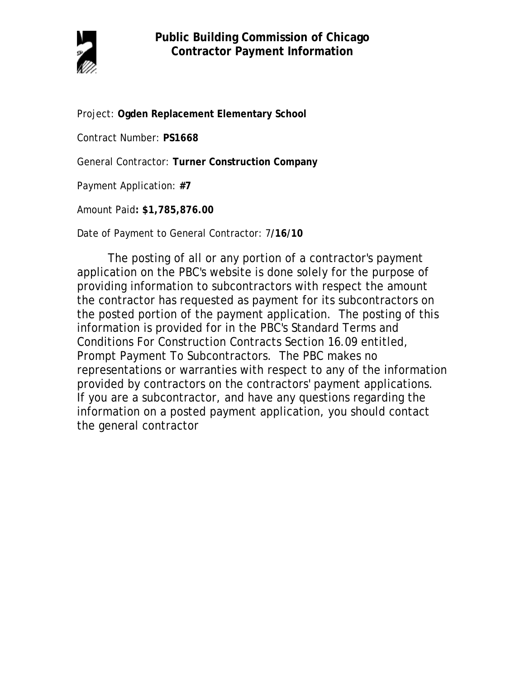

Project: **Ogden Replacement Elementary School**

Contract Number: **PS1668**

General Contractor: **Turner Construction Company**

Payment Application: **#7**

Amount Paid**: \$1,785,876.00** 

Date of Payment to General Contractor: 7**/16/10**

The posting of all or any portion of a contractor's payment application on the PBC's website is done solely for the purpose of providing information to subcontractors with respect the amount the contractor has requested as payment for its subcontractors on the posted portion of the payment application. The posting of this information is provided for in the PBC's Standard Terms and Conditions For Construction Contracts Section 16.09 entitled, Prompt Payment To Subcontractors. The PBC makes no representations or warranties with respect to any of the information provided by contractors on the contractors' payment applications. If you are a subcontractor, and have any questions regarding the information on a posted payment application, you should contact the general contractor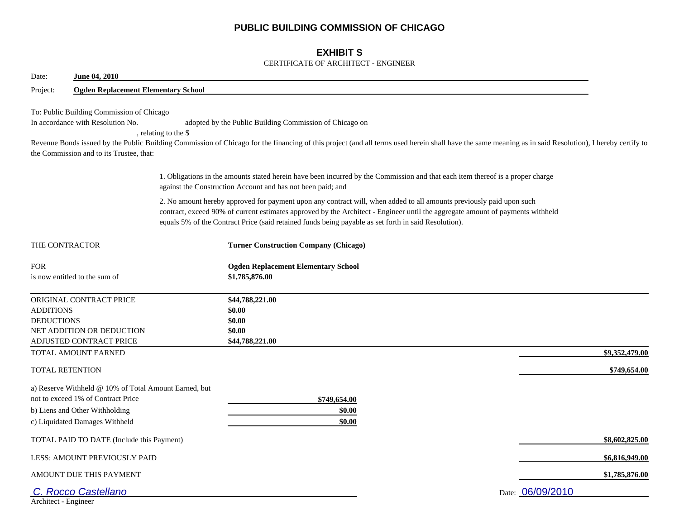## **PUBLIC BUILDING COMMISSION OF CHICAGO**

## **EXHIBIT S**

### CERTIFICATE OF ARCHITECT - ENGINEER

| Date:                                       | June 04, 2010                                                                                                                                                   |                                                                                                                                                                                                                                                                                                                                                                |                |
|---------------------------------------------|-----------------------------------------------------------------------------------------------------------------------------------------------------------------|----------------------------------------------------------------------------------------------------------------------------------------------------------------------------------------------------------------------------------------------------------------------------------------------------------------------------------------------------------------|----------------|
| Project:                                    | <b>Ogden Replacement Elementary School</b>                                                                                                                      |                                                                                                                                                                                                                                                                                                                                                                |                |
|                                             | To: Public Building Commission of Chicago<br>In accordance with Resolution No.<br>the Commission and to its Trustee, that:                                      | adopted by the Public Building Commission of Chicago on<br>, relating to the \$<br>Revenue Bonds issued by the Public Building Commission of Chicago for the financing of this project (and all terms used herein shall have the same meaning as in said Resolution), I hereby certify to                                                                      |                |
|                                             |                                                                                                                                                                 | 1. Obligations in the amounts stated herein have been incurred by the Commission and that each item thereof is a proper charge<br>against the Construction Account and has not been paid; and                                                                                                                                                                  |                |
|                                             |                                                                                                                                                                 | 2. No amount hereby approved for payment upon any contract will, when added to all amounts previously paid upon such<br>contract, exceed 90% of current estimates approved by the Architect - Engineer until the aggregate amount of payments withheld<br>equals 5% of the Contract Price (said retained funds being payable as set forth in said Resolution). |                |
| THE CONTRACTOR                              |                                                                                                                                                                 | <b>Turner Construction Company (Chicago)</b>                                                                                                                                                                                                                                                                                                                   |                |
| <b>FOR</b><br>is now entitled to the sum of |                                                                                                                                                                 | <b>Ogden Replacement Elementary School</b><br>\$1,785,876.00                                                                                                                                                                                                                                                                                                   |                |
| <b>ADDITIONS</b><br><b>DEDUCTIONS</b>       | ORIGINAL CONTRACT PRICE<br>NET ADDITION OR DEDUCTION<br>ADJUSTED CONTRACT PRICE                                                                                 | \$44,788,221.00<br>\$0.00<br>\$0.00<br>\$0.00<br>\$44,788,221.00                                                                                                                                                                                                                                                                                               |                |
|                                             | TOTAL AMOUNT EARNED                                                                                                                                             |                                                                                                                                                                                                                                                                                                                                                                | \$9,352,479.00 |
| <b>TOTAL RETENTION</b>                      |                                                                                                                                                                 |                                                                                                                                                                                                                                                                                                                                                                | \$749,654.00   |
|                                             | a) Reserve Withheld @ 10% of Total Amount Earned, but<br>not to exceed 1% of Contract Price<br>b) Liens and Other Withholding<br>c) Liquidated Damages Withheld | \$749,654.00<br>\$0.00<br>\$0.00                                                                                                                                                                                                                                                                                                                               |                |
|                                             | TOTAL PAID TO DATE (Include this Payment)                                                                                                                       |                                                                                                                                                                                                                                                                                                                                                                | \$8,602,825.00 |
|                                             | LESS: AMOUNT PREVIOUSLY PAID                                                                                                                                    |                                                                                                                                                                                                                                                                                                                                                                | \$6,816,949.00 |
|                                             | AMOUNT DUE THIS PAYMENT                                                                                                                                         |                                                                                                                                                                                                                                                                                                                                                                | \$1,785,876.00 |
| Architect - Engineer                        | C. Rocco Castellano                                                                                                                                             | Date: 06/09/2010                                                                                                                                                                                                                                                                                                                                               |                |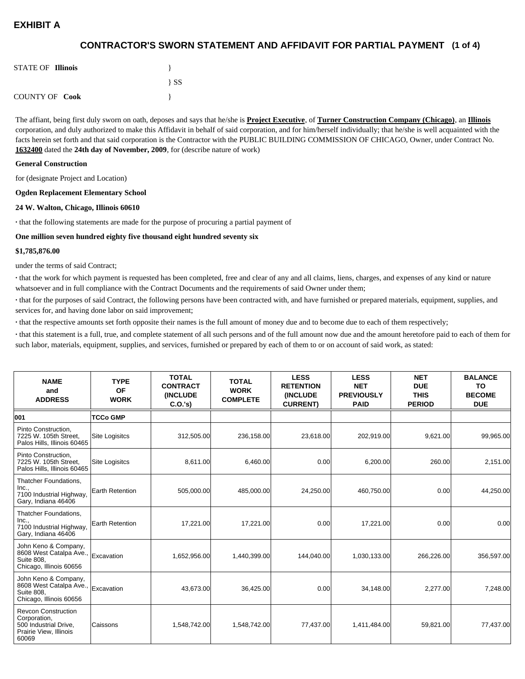## **(1 of 4) CONTRACTOR'S SWORN STATEMENT AND AFFIDAVIT FOR PARTIAL PAYMENT**

| <b>STATE OF Illinois</b> |          |
|--------------------------|----------|
|                          | $\{SS\}$ |
| <b>COUNTY OF Cook</b>    |          |

The affiant, being first duly sworn on oath, deposes and says that he/she is **Project Executive**, of **Turner Construction Company (Chicago)**, an **Illinois** corporation, and duly authorized to make this Affidavit in behalf of said corporation, and for him/herself individually; that he/she is well acquainted with the facts herein set forth and that said corporation is the Contractor with the PUBLIC BUILDING COMMISSION OF CHICAGO, Owner, under Contract No. **1632400** dated the **24th day of November, 2009**, for (describe nature of work)

#### **General Construction**

for (designate Project and Location)

#### **Ogden Replacement Elementary School**

#### **24 W. Walton, Chicago, Illinois 60610**

**·** that the following statements are made for the purpose of procuring a partial payment of

#### **One million seven hundred eighty five thousand eight hundred seventy six**

#### **\$1,785,876.00**

under the terms of said Contract;

**·** that the work for which payment is requested has been completed, free and clear of any and all claims, liens, charges, and expenses of any kind or nature whatsoever and in full compliance with the Contract Documents and the requirements of said Owner under them;

**·** that for the purposes of said Contract, the following persons have been contracted with, and have furnished or prepared materials, equipment, supplies, and services for, and having done labor on said improvement;

**·** that the respective amounts set forth opposite their names is the full amount of money due and to become due to each of them respectively;

**·** that this statement is a full, true, and complete statement of all such persons and of the full amount now due and the amount heretofore paid to each of them for such labor, materials, equipment, supplies, and services, furnished or prepared by each of them to or on account of said work, as stated:

| <b>NAME</b><br>and<br><b>ADDRESS</b>                                                                   | <b>TYPE</b><br>OF<br><b>WORK</b> | <b>TOTAL</b><br><b>CONTRACT</b><br><b>(INCLUDE)</b><br>C.0.'s) | <b>TOTAL</b><br><b>WORK</b><br><b>COMPLETE</b> | <b>LESS</b><br><b>RETENTION</b><br><b>(INCLUDE</b><br><b>CURRENT)</b> | <b>LESS</b><br><b>NET</b><br><b>PREVIOUSLY</b><br><b>PAID</b> | <b>NET</b><br><b>DUE</b><br><b>THIS</b><br><b>PERIOD</b> | <b>BALANCE</b><br><b>TO</b><br><b>BECOME</b><br><b>DUE</b> |
|--------------------------------------------------------------------------------------------------------|----------------------------------|----------------------------------------------------------------|------------------------------------------------|-----------------------------------------------------------------------|---------------------------------------------------------------|----------------------------------------------------------|------------------------------------------------------------|
| 001                                                                                                    | <b>TCCo GMP</b>                  |                                                                |                                                |                                                                       |                                                               |                                                          |                                                            |
| Pinto Construction,<br>7225 W. 105th Street.<br>Palos Hills, Illinois 60465                            | Site Logisitcs                   | 312,505.00                                                     | 236,158.00                                     | 23,618.00                                                             | 202,919.00                                                    | 9,621.00                                                 | 99,965.00                                                  |
| Pinto Construction.<br>7225 W. 105th Street,<br>Palos Hills, Illinois 60465                            | <b>Site Logisitcs</b>            | 8,611.00                                                       | 6,460.00                                       | 0.00                                                                  | 6,200.00                                                      | 260.00                                                   | 2,151.00                                                   |
| Thatcher Foundations,<br>Inc.,<br>7100 Industrial Highway,<br>Gary, Indiana 46406                      | Earth Retention                  | 505,000.00                                                     | 485,000.00                                     | 24,250.00                                                             | 460,750.00                                                    | 0.00                                                     | 44,250.00                                                  |
| Thatcher Foundations,<br>Inc.,<br>7100 Industrial Highway,<br>Gary, Indiana 46406                      | Earth Retention                  | 17,221.00                                                      | 17,221.00                                      | 0.00                                                                  | 17,221.00                                                     | 0.00                                                     | 0.00                                                       |
| John Keno & Company,<br>8608 West Catalpa Ave.,<br>Suite 808.<br>Chicago, Illinois 60656               | Excavation                       | 1,652,956.00                                                   | 1,440,399.00                                   | 144,040.00                                                            | 1,030,133.00                                                  | 266,226.00                                               | 356,597.00                                                 |
| John Keno & Company,<br>8608 West Catalpa Ave.,<br><b>Suite 808.</b><br>Chicago, Illinois 60656        | Excavation                       | 43,673.00                                                      | 36,425.00                                      | 0.00                                                                  | 34,148.00                                                     | 2,277.00                                                 | 7,248.00                                                   |
| <b>Revcon Construction</b><br>Corporation,<br>500 Industrial Drive,<br>Prairie View, Illinois<br>60069 | Caissons                         | 1,548,742.00                                                   | 1,548,742.00                                   | 77,437.00                                                             | 1,411,484.00                                                  | 59,821.00                                                | 77,437.00                                                  |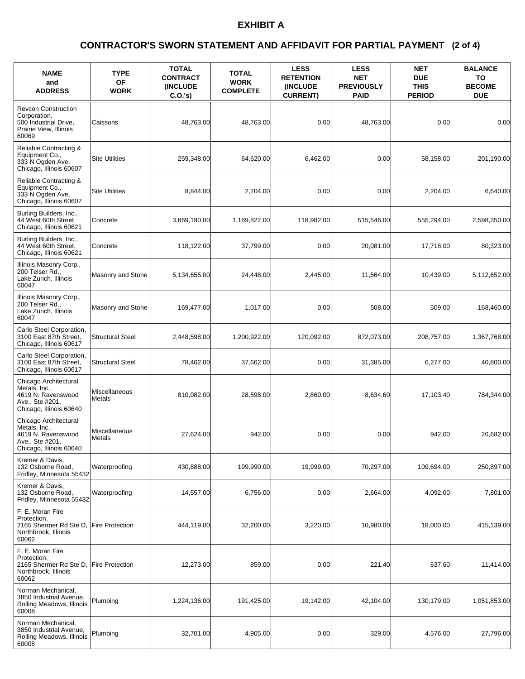### **(2 of 4) CONTRACTOR'S SWORN STATEMENT AND AFFIDAVIT FOR PARTIAL PAYMENT**

| <b>NAME</b><br>and<br><b>ADDRESS</b>                                                                       | <b>TYPE</b><br><b>OF</b><br><b>WORK</b> | <b>TOTAL</b><br><b>CONTRACT</b><br>(INCLUDE<br>C.O.'s) | <b>TOTAL</b><br><b>WORK</b><br><b>COMPLETE</b> | <b>LESS</b><br><b>RETENTION</b><br>(INCLUDE<br><b>CURRENT)</b> | <b>LESS</b><br><b>NET</b><br><b>PREVIOUSLY</b><br><b>PAID</b> | <b>NET</b><br><b>DUE</b><br><b>THIS</b><br><b>PERIOD</b> | <b>BALANCE</b><br>ΤО<br><b>BECOME</b><br><b>DUE</b> |
|------------------------------------------------------------------------------------------------------------|-----------------------------------------|--------------------------------------------------------|------------------------------------------------|----------------------------------------------------------------|---------------------------------------------------------------|----------------------------------------------------------|-----------------------------------------------------|
| <b>Revcon Construction</b><br>Corporation,<br>500 Industrial Drive,<br>Prairie View, Illinois<br>60069     | Caissons                                | 48,763.00                                              | 48,763.00                                      | 0.00                                                           | 48,763.00                                                     | 0.00                                                     | 0.00                                                |
| Reliable Contracting &<br>Equipment Co.,<br>333 N Ogden Ave,<br>Chicago, Illinois 60607                    | <b>Site Utilities</b>                   | 259,348.00                                             | 64,620.00                                      | 6,462.00                                                       | 0.00                                                          | 58,158.00                                                | 201,190.00                                          |
| Reliable Contracting &<br>Equipment Co.,<br>333 N Ogden Ave,<br>Chicago, Illinois 60607                    | <b>Site Utilities</b>                   | 8,844.00                                               | 2,204.00                                       | 0.00                                                           | 0.00                                                          | 2,204.00                                                 | 6,640.00                                            |
| Burling Builders, Inc.,<br>44 West 60th Street,<br>Chicago, Illinois 60621                                 | Concrete                                | 3,669,190.00                                           | 1,189,822.00                                   | 118,982.00                                                     | 515,546.00                                                    | 555,294.00                                               | 2,598,350.00                                        |
| Burling Builders, Inc.,<br>44 West 60th Street,<br>Chicago, Illinois 60621                                 | Concrete                                | 118,122.00                                             | 37,799.00                                      | 0.00                                                           | 20,081.00                                                     | 17,718.00                                                | 80,323.00                                           |
| Illinois Masonry Corp.,<br>200 Telser Rd.,<br>Lake Zurich, Illinois<br>60047                               | Masonry and Stone                       | 5,134,655.00                                           | 24,448.00                                      | 2.445.00                                                       | 11,564.00                                                     | 10,439.00                                                | 5,112,652.00                                        |
| Illinois Masonry Corp.,<br>200 Telser Rd.,<br>Lake Zurich, Illinois<br>60047                               | Masonry and Stone                       | 169,477.00                                             | 1,017.00                                       | 0.00                                                           | 508.00                                                        | 509.00                                                   | 168,460.00                                          |
| Carlo Steel Corporation,<br>3100 East 87th Street,<br>Chicago, Illinois 60617                              | <b>Structural Steel</b>                 | 2,448,598.00                                           | 1,200,922.00                                   | 120,092.00                                                     | 872,073.00                                                    | 208,757.00                                               | 1,367,768.00                                        |
| Carlo Steel Corporation,<br>3100 East 87th Street,<br>Chicago, Illinois 60617                              | <b>Structural Steel</b>                 | 78,462.00                                              | 37,662.00                                      | 0.00                                                           | 31,385.00                                                     | 6,277.00                                                 | 40,800.00                                           |
| Chicago Architectural<br>Metals, Inc.,<br>4619 N. Ravenswood<br>Ave., Ste #201,<br>Chicago, Illinois 60640 | Miscellaneous<br>Metals                 | 810,082.00                                             | 28,598.00                                      | 2,860.00                                                       | 8,634.60                                                      | 17,103.40                                                | 784,344.00                                          |
| Chicago Architectural<br>Metals, Inc.,<br>4619 N. Ravenswood<br>Ave., Ste #201,<br>Chicago, Illinois 60640 | Miscellaneous<br>Metals                 | 27,624.00                                              | 942.00                                         | 0.00                                                           | 0.00                                                          | 942.00                                                   | 26,682.00                                           |
| Kremer & Davis,<br>132 Osborne Road,<br>Fridley, Minnesota 55432                                           | Waterproofing                           | 430,888.00                                             | 199,990.00                                     | 19,999.00                                                      | 70,297.00                                                     | 109,694.00                                               | 250,897.00                                          |
| Kremer & Davis,<br>132 Osborne Road,<br>Fridley, Minnesota 55432                                           | Waterproofing                           | 14,557.00                                              | 6,756.00                                       | 0.00                                                           | 2,664.00                                                      | 4,092.00                                                 | 7,801.00                                            |
| F. E. Moran Fire<br>Protection,<br>2165 Shermer Rd Ste D.<br>Northbrook, Illinois<br>60062                 | <b>Fire Protection</b>                  | 444,119.00                                             | 32,200.00                                      | 3,220.00                                                       | 10,980.00                                                     | 18,000.00                                                | 415,139.00                                          |
| F. E. Moran Fire<br>Protection,<br>2165 Shermer Rd Ste D,<br>Northbrook, Illinois<br>60062                 | <b>Fire Protection</b>                  | 12,273.00                                              | 859.00                                         | 0.00                                                           | 221.40                                                        | 637.60                                                   | 11,414.00                                           |
| Norman Mechanical,<br>3850 Industrial Avenue,<br>Rolling Meadows, Illinois<br>60008                        | Plumbing                                | 1,224,136.00                                           | 191,425.00                                     | 19,142.00                                                      | 42,104.00                                                     | 130,179.00                                               | 1,051,853.00                                        |
| Norman Mechanical,<br>3850 Industrial Avenue,<br>Rolling Meadows, Illinois<br>60008                        | Plumbing                                | 32,701.00                                              | 4,905.00                                       | 0.00                                                           | 329.00                                                        | 4,576.00                                                 | 27,796.00                                           |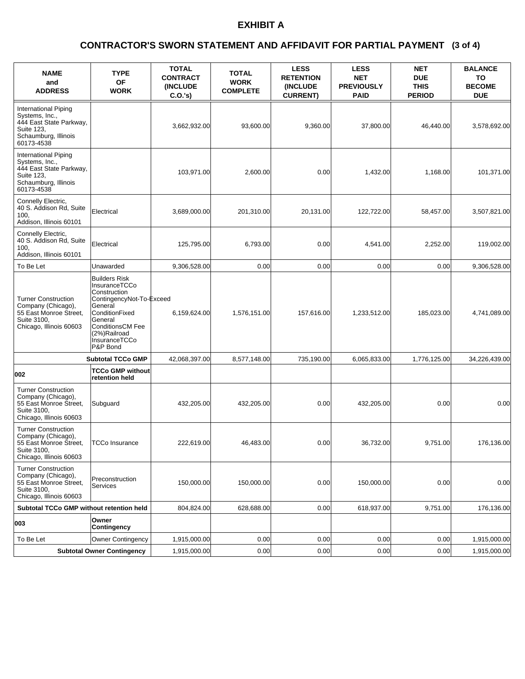### **(3 of 4) CONTRACTOR'S SWORN STATEMENT AND AFFIDAVIT FOR PARTIAL PAYMENT**

| <b>NAME</b><br>and<br><b>ADDRESS</b>                                                                                  | <b>TYPE</b><br>OF<br><b>WORK</b>                                                                                                                                                                  | <b>TOTAL</b><br><b>CONTRACT</b><br><b>(INCLUDE)</b><br>C.O.'s | <b>TOTAL</b><br><b>WORK</b><br><b>COMPLETE</b> | <b>LESS</b><br><b>RETENTION</b><br>(INCLUDE<br><b>CURRENT)</b> | <b>LESS</b><br><b>NET</b><br><b>PREVIOUSLY</b><br><b>PAID</b> | <b>NET</b><br><b>DUE</b><br><b>THIS</b><br><b>PERIOD</b> | <b>BALANCE</b><br>ΤО<br><b>BECOME</b><br><b>DUE</b> |
|-----------------------------------------------------------------------------------------------------------------------|---------------------------------------------------------------------------------------------------------------------------------------------------------------------------------------------------|---------------------------------------------------------------|------------------------------------------------|----------------------------------------------------------------|---------------------------------------------------------------|----------------------------------------------------------|-----------------------------------------------------|
| International Piping<br>Systems, Inc.,<br>444 East State Parkway,<br>Suite 123,<br>Schaumburg, Illinois<br>60173-4538 |                                                                                                                                                                                                   | 3,662,932.00                                                  | 93,600.00                                      | 9,360.00                                                       | 37,800.00                                                     | 46,440.00                                                | 3,578,692.00                                        |
| International Piping<br>Systems, Inc.,<br>444 East State Parkway,<br>Suite 123,<br>Schaumburg, Illinois<br>60173-4538 |                                                                                                                                                                                                   | 103,971.00                                                    | 2,600.00                                       | 0.00                                                           | 1,432.00                                                      | 1,168.00                                                 | 101,371.00                                          |
| Connelly Electric,<br>40 S. Addison Rd, Suite<br>100.<br>Addison, Illinois 60101                                      | Electrical                                                                                                                                                                                        | 3,689,000.00                                                  | 201,310.00                                     | 20,131.00                                                      | 122,722.00                                                    | 58,457.00                                                | 3,507,821.00                                        |
| Connelly Electric,<br>40 S. Addison Rd, Suite<br>100.<br>Addison, Illinois 60101                                      | Electrical                                                                                                                                                                                        | 125,795.00                                                    | 6,793.00                                       | 0.00                                                           | 4,541.00                                                      | 2,252.00                                                 | 119,002.00                                          |
| To Be Let                                                                                                             | Unawarded                                                                                                                                                                                         | 9,306,528.00                                                  | 0.00                                           | 0.00                                                           | 0.00                                                          | 0.00                                                     | 9,306,528.00                                        |
| <b>Turner Construction</b><br>Company (Chicago),<br>55 East Monroe Street,<br>Suite 3100,<br>Chicago, Illinois 60603  | <b>Builders Risk</b><br>InsuranceTCCo<br>Construction<br>ContingencyNot-To-Exceed<br>General<br>ConditionFixed<br>General<br><b>ConditionsCM Fee</b><br>(2%)Railroad<br>InsuranceTCCo<br>P&P Bond | 6,159,624.00                                                  | 1,576,151.00                                   | 157,616.00                                                     | 1,233,512.00                                                  | 185,023.00                                               | 4,741,089.00                                        |
|                                                                                                                       | <b>Subtotal TCCo GMP</b>                                                                                                                                                                          | 42,068,397.00                                                 | 8,577,148.00                                   | 735,190.00                                                     | 6,065,833.00                                                  | 1,776,125.00                                             | 34,226,439.00                                       |
| 002                                                                                                                   | <b>TCCo GMP without</b><br>retention held                                                                                                                                                         |                                                               |                                                |                                                                |                                                               |                                                          |                                                     |
| <b>Turner Construction</b><br>Company (Chicago),<br>55 East Monroe Street,<br>Suite 3100,<br>Chicago, Illinois 60603  | Subguard                                                                                                                                                                                          | 432,205.00                                                    | 432,205.00                                     | 0.00                                                           | 432,205.00                                                    | 0.00                                                     | 0.00                                                |
| <b>Turner Construction</b><br>Company (Chicago),<br>55 East Monroe Street.<br>Suite 3100,<br>Chicago, Illinois 60603  | <b>TCCo Insurance</b>                                                                                                                                                                             | 222,619.00                                                    | 46,483.00                                      | 0.00                                                           | 36,732.00                                                     | 9,751.00                                                 | 176,136.00                                          |
| <b>Turner Construction</b><br>Company (Chicago),<br>55 East Monroe Street,<br>Suite 3100,<br>Chicago, Illinois 60603  | Preconstruction<br>Services                                                                                                                                                                       | 150,000.00                                                    | 150,000.00                                     | 0.00                                                           | 150,000.00                                                    | 0.00                                                     | 0.00                                                |
| Subtotal TCCo GMP without retention held                                                                              |                                                                                                                                                                                                   | 804,824.00                                                    | 628,688.00                                     | 0.00                                                           | 618,937.00                                                    | 9,751.00                                                 | 176,136.00                                          |
| 003                                                                                                                   | Owner<br><b>Contingency</b>                                                                                                                                                                       |                                                               |                                                |                                                                |                                                               |                                                          |                                                     |
| To Be Let                                                                                                             | <b>Owner Contingency</b>                                                                                                                                                                          | 1,915,000.00                                                  | 0.00                                           | 0.00                                                           | 0.00                                                          | 0.00                                                     | 1,915,000.00                                        |
|                                                                                                                       | <b>Subtotal Owner Contingency</b>                                                                                                                                                                 | 1,915,000.00                                                  | 0.00                                           | 0.00                                                           | 0.00                                                          | 0.00                                                     | 1,915,000.00                                        |